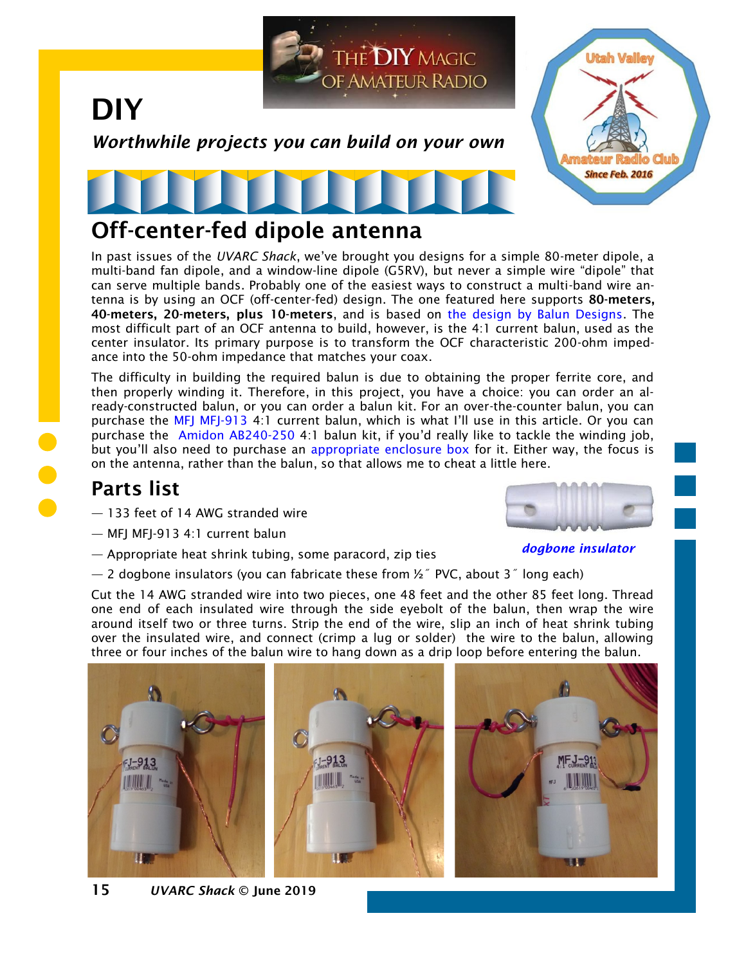

In past issues of the *UVARC Shack*, we've brought you designs for a simple 80-meter dipole, a multi-band fan dipole, and a window-line dipole (G5RV), but never a simple wire "dipole" that can serve multiple bands. Probably one of the easiest ways to construct a multi-band wire antenna is by using an OCF (off-center-fed) design. The one featured here supports 80-meters, 40-meters, 20-meters, plus 10-meters, and is based on [the design by Balun Designs.](http://www.balundesigns.com/content/OCF%20Antenna.pdf) The most difficult part of an OCF antenna to build, however, is the 4:1 current balun, used as the center insulator. Its primary purpose is to transform the OCF characteristic 200-ohm impedance into the 50-ohm impedance that matches your coax.

The difficulty in building the required balun is due to obtaining the proper ferrite core, and then properly winding it. Therefore, in this project, you have a choice: you can order an already-constructed balun, or you can order a balun kit. For an over-the-counter balun, you can purchase the [MFJ MFJ-913](https://www.hamradio.com/detail.cfm?pid=H0-007115) 4:1 current balun, which is what I'll use in this article. Or you can purchase the [Amidon AB240-250](http://www.amidoncorp.com/ab240-250-kit-k-mix-balun-kit/) 4:1 balun kit, if you'd really like to tackle the winding job, but you'll also need to purchase an [appropriate enclosure box](https://palomar-engineers.com/antenna-products/baluns-and-ununs/enclosure-boxes) for it. Either way, the focus is on the antenna, rather than the balun, so that allows me to cheat a little here.

## Parts list

- 133 feet of 14 AWG stranded wire
- MFJ MFJ-913 4:1 current balun
- Appropriate heat shrink tubing, some paracord, zip ties
- $-$  2 dogbone insulators (you can fabricate these from  $\frac{1}{2}$  PVC, about 3<sup>*\**</sup> long each)

Cut the 14 AWG stranded wire into two pieces, one 48 feet and the other 85 feet long. Thread one end of each insulated wire through the side eyebolt of the balun, then wrap the wire around itself two or three turns. Strip the end of the wire, slip an inch of heat shrink tubing over the insulated wire, and connect (crimp a lug or solder) the wire to the balun, allowing three or four inches of the balun wire to hang down as a drip loop before entering the balun.





*dogbone insulator*